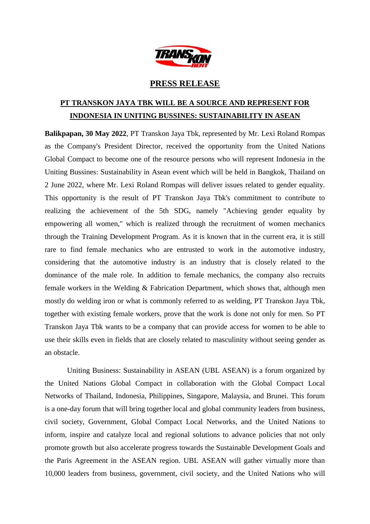

## **PRESS RELEASE**

## **PT TRANSKON JAYA TBK WILL BE A SOURCE AND REPRESENT FOR INDONESIA IN UNITING BUSSINES: SUSTAINABILITY IN ASEAN**

**Balikpapan, 30 May 2022**, PT Transkon Jaya Tbk, represented by Mr. Lexi Roland Rompas as the Company's President Director, received the opportunity from the United Nations Global Compact to become one of the resource persons who will represent Indonesia in the Uniting Bussines: Sustainability in Asean event which will be held in Bangkok, Thailand on 2 June 2022, where Mr. Lexi Roland Rompas will deliver issues related to gender equality. This opportunity is the result of PT Transkon Jaya Tbk's commitment to contribute to realizing the achievement of the 5th SDG, namely "Achieving gender equality by empowering all women," which is realized through the recruitment of women mechanics through the Training Development Program. As it is known that in the current era, it is still rare to find female mechanics who are entrusted to work in the automotive industry, considering that the automotive industry is an industry that is closely related to the dominance of the male role. In addition to female mechanics, the company also recruits female workers in the Welding & Fabrication Department, which shows that, although men mostly do welding iron or what is commonly referred to as welding, PT Transkon Jaya Tbk, together with existing female workers, prove that the work is done not only for men. So PT Transkon Jaya Tbk wants to be a company that can provide access for women to be able to use their skills even in fields that are closely related to masculinity without seeing gender as an obstacle.

Uniting Business: Sustainability in ASEAN (UBL ASEAN) is a forum organized by the United Nations Global Compact in collaboration with the Global Compact Local Networks of Thailand, Indonesia, Philippines, Singapore, Malaysia, and Brunei. This forum is a one-day forum that will bring together local and global community leaders from business, civil society, Government, Global Compact Local Networks, and the United Nations to inform, inspire and catalyze local and regional solutions to advance policies that not only promote growth but also accelerate progress towards the Sustainable Development Goals and the Paris Agreement in the ASEAN region. UBL ASEAN will gather virtually more than 10,000 leaders from business, government, civil society, and the United Nations who will